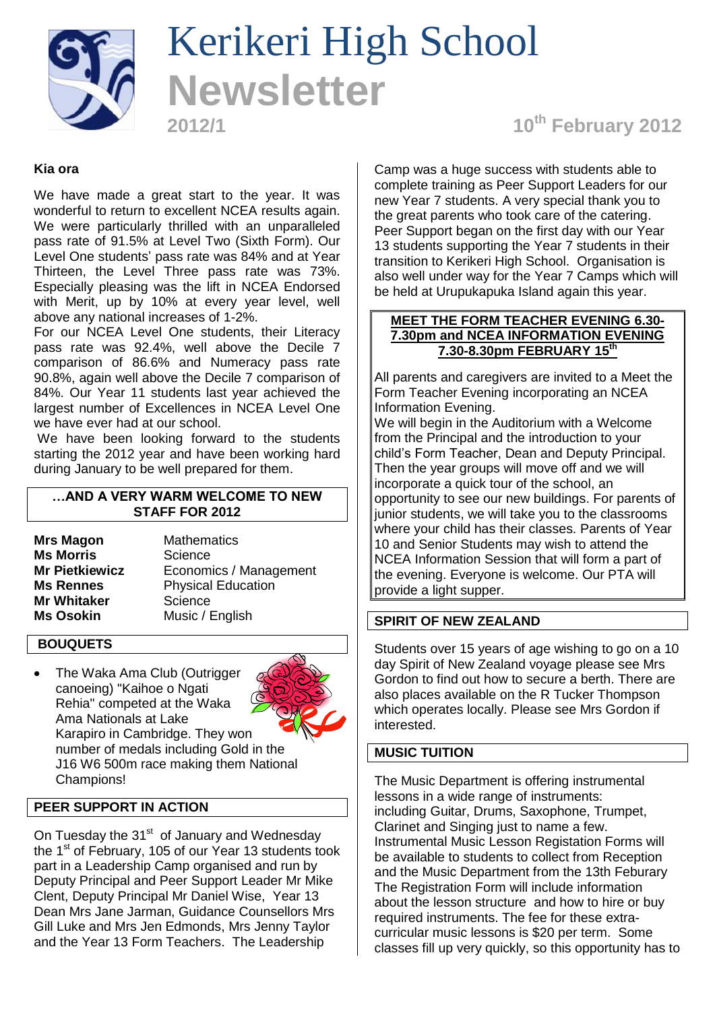

# Kerikeri High School **Newsletter**

# **2012/1 10th February 2012**

## **Kia ora**

We have made a great start to the year. It was wonderful to return to excellent NCEA results again. We were particularly thrilled with an unparalleled pass rate of 91.5% at Level Two (Sixth Form). Our Level One students' pass rate was 84% and at Year Thirteen, the Level Three pass rate was 73%. Especially pleasing was the lift in NCEA Endorsed with Merit, up by 10% at every year level, well above any national increases of 1-2%.

For our NCEA Level One students, their Literacy pass rate was 92.4%, well above the Decile 7 comparison of 86.6% and Numeracy pass rate 90.8%, again well above the Decile 7 comparison of 84%. Our Year 11 students last year achieved the largest number of Excellences in NCEA Level One we have ever had at our school.

We have been looking forward to the students starting the 2012 year and have been working hard during January to be well prepared for them.

## **…AND A VERY WARM WELCOME TO NEW STAFF FOR 2012**

**Ms Morris** Science **Mr Whitaker** Science

**Mrs Magon** Mathematics **Mr Pietkiewicz** Economics / Management **Ms Rennes** Physical Education **Ms Osokin** Music / English

#### **BOUQUETS**

The Waka Ama Club (Outrigger canoeing) "Kaihoe o Ngati Rehia" competed at the Waka Ama Nationals at Lake Karapiro in Cambridge. They won number of medals including Gold in the J16 W6 500m race making them National Champions!



On Tuesday the 31<sup>st</sup> of January and Wednesday the 1<sup>st</sup> of February, 105 of our Year 13 students took part in a Leadership Camp organised and run by Deputy Principal and Peer Support Leader Mr Mike Clent, Deputy Principal Mr Daniel Wise, Year 13 Dean Mrs Jane Jarman, Guidance Counsellors Mrs Gill Luke and Mrs Jen Edmonds, Mrs Jenny Taylor and the Year 13 Form Teachers. The Leadership

Camp was a huge success with students able to complete training as Peer Support Leaders for our new Year 7 students. A very special thank you to the great parents who took care of the catering. Peer Support began on the first day with our Year 13 students supporting the Year 7 students in their transition to Kerikeri High School. Organisation is also well under way for the Year 7 Camps which will be held at Urupukapuka Island again this year.

#### **MEET THE FORM TEACHER EVENING 6.30- 7.30pm and NCEA INFORMATION EVENING 7.30-8.30pm FEBRUARY 15 th**

All parents and caregivers are invited to a Meet the Form Teacher Evening incorporating an NCEA Information Evening. We will begin in the Auditorium with a Welcome from the Principal and the introduction to your child's Form Teacher, Dean and Deputy Principal. Then the year groups will move off and we will incorporate a quick tour of the school, an opportunity to see our new buildings. For parents of junior students, we will take you to the classrooms where your child has their classes. Parents of Year 10 and Senior Students may wish to attend the NCEA Information Session that will form a part of the evening. Everyone is welcome. Our PTA will provide a light supper.

#### **SPIRIT OF NEW ZEALAND**

Students over 15 years of age wishing to go on a 10 day Spirit of New Zealand voyage please see Mrs Gordon to find out how to secure a berth. There are also places available on the R Tucker Thompson which operates locally. Please see Mrs Gordon if interested.

## **MUSIC TUITION**

The Music Department is offering instrumental lessons in a wide range of instruments: including Guitar, Drums, Saxophone, Trumpet, Clarinet and Singing just to name a few. Instrumental Music Lesson Registation Forms will be available to students to collect from Reception and the Music Department from the 13th Feburary The Registration Form will include information about the lesson structure and how to hire or buy required instruments. The fee for these extracurricular music lessons is \$20 per term. Some classes fill up very quickly, so this opportunity has to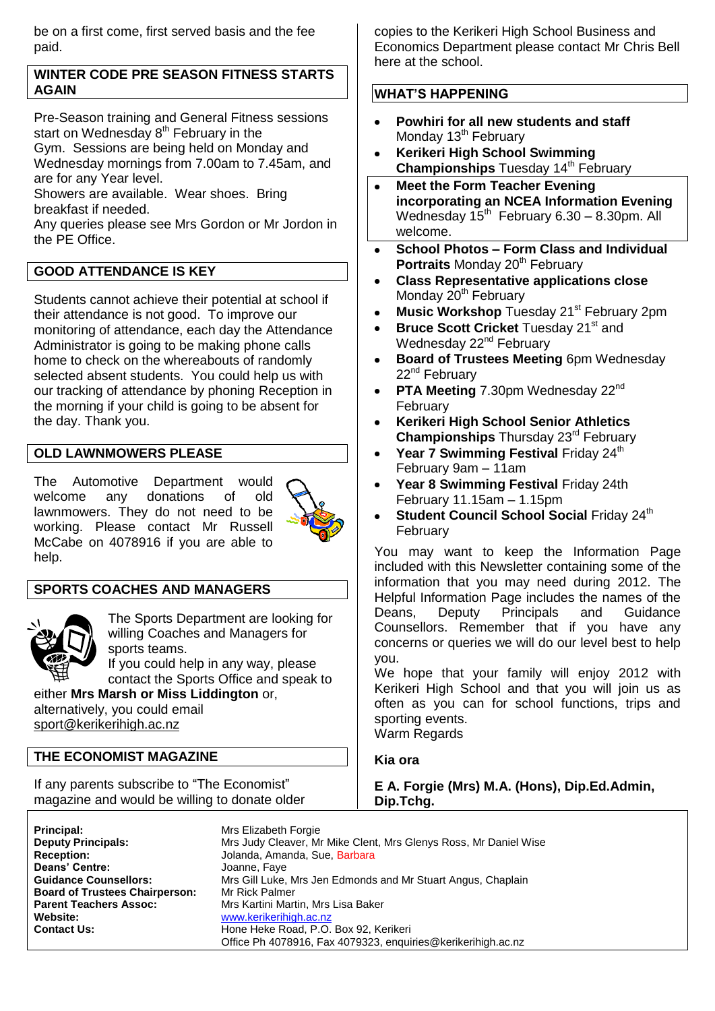be on a first come, first served basis and the fee paid.

## **WINTER CODE PRE SEASON FITNESS STARTS AGAIN**

Pre-Season training and General Fitness sessions start on Wednesday  $8<sup>th</sup>$  February in the Gym. Sessions are being held on Monday and Wednesday mornings from 7.00am to 7.45am, and are for any Year level.

Showers are available. Wear shoes. Bring breakfast if needed.

Any queries please see Mrs Gordon or Mr Jordon in the PE Office.

# **GOOD ATTENDANCE IS KEY**

Students cannot achieve their potential at school if their attendance is not good. To improve our monitoring of attendance, each day the Attendance Administrator is going to be making phone calls home to check on the whereabouts of randomly selected absent students. You could help us with our tracking of attendance by phoning Reception in the morning if your child is going to be absent for the day. Thank you.

# **OLD LAWNMOWERS PLEASE**

The Automotive Department would welcome any donations of old lawnmowers. They do not need to be working. Please contact Mr Russell McCabe on 4078916 if you are able to help.



# **SPORTS COACHES AND MANAGERS**



The Sports Department are looking for willing Coaches and Managers for sports teams. If you could help in any way, please

contact the Sports Office and speak to either **Mrs Marsh or Miss Liddington** or,

alternatively, you could email [sport@kerikerihigh.ac.nz](mailto:sport@kerikerihigh.ac.nz)

# **THE ECONOMIST MAGAZINE**

If any parents subscribe to "The Economist" magazine and would be willing to donate older copies to the Kerikeri High School Business and Economics Department please contact Mr Chris Bell here at the school.

# **WHAT'S HAPPENING**

- **Powhiri for all new students and staff**  $\bullet$ Monday 13<sup>th</sup> February
- **Kerikeri High School Swimming**   $\bullet$ **Championships Tuesday 14<sup>th</sup> February**
- **Meet the Form Teacher Evening**   $\bullet$ **incorporating an NCEA Information Evening**  Wednesday  $15<sup>th</sup>$  February 6.30 – 8.30pm. All welcome.
- **School Photos – Form Class and Individual**   $\bullet$ **Portraits Monday 20<sup>th</sup> February**
- $\bullet$ **Class Representative applications close** Monday 20<sup>th</sup> February
- **Music Workshop Tuesday 21<sup>st</sup> February 2pm**  $\bullet$
- **Bruce Scott Cricket** Tuesday 21<sup>st</sup> and  $\bullet$ Wednesday 22<sup>nd</sup> February
- **Board of Trustees Meeting** 6pm Wednesday  $\bullet$ 22<sup>nd</sup> February
- **PTA Meeting 7.30pm Wednesday 22<sup>nd</sup>**  $\bullet$ February
- **Kerikeri High School Senior Athletics Championships** Thursday 23rd February
- Year 7 Swimming Festival Friday 24<sup>th</sup>  $\bullet$ February 9am – 11am
- **Year 8 Swimming Festival** Friday 24th February 11.15am – 1.15pm
- **Student Council School Social Friday 24th** February

You may want to keep the Information Page included with this Newsletter containing some of the information that you may need during 2012. The Helpful Information Page includes the names of the Deans, Deputy Principals and Guidance Counsellors. Remember that if you have any concerns or queries we will do our level best to help you.

We hope that your family will enjoy 2012 with Kerikeri High School and that you will join us as often as you can for school functions, trips and sporting events.

Warm Regards

## **Kia ora**

**E A. Forgie (Mrs) M.A. (Hons), Dip.Ed.Admin, Dip.Tchg.**

| Principal:                            | Mrs Elizabeth Forgie                                             |
|---------------------------------------|------------------------------------------------------------------|
| <b>Deputy Principals:</b>             | Mrs Judy Cleaver, Mr Mike Clent, Mrs Glenys Ross, Mr Daniel Wise |
| <b>Reception:</b>                     | Jolanda, Amanda, Sue, Barbara                                    |
| <b>Deans' Centre:</b>                 | Joanne, Faye                                                     |
| <b>Guidance Counsellors:</b>          | Mrs Gill Luke, Mrs Jen Edmonds and Mr Stuart Angus, Chaplain     |
| <b>Board of Trustees Chairperson:</b> | Mr Rick Palmer                                                   |
| <b>Parent Teachers Assoc:</b>         | Mrs Kartini Martin, Mrs Lisa Baker                               |
| Website:                              | www.kerikerihigh.ac.nz                                           |
| <b>Contact Us:</b>                    | Hone Heke Road, P.O. Box 92, Kerikeri                            |
|                                       | Office Ph 4078916, Fax 4079323, enquiries@kerikerihigh.ac.nz     |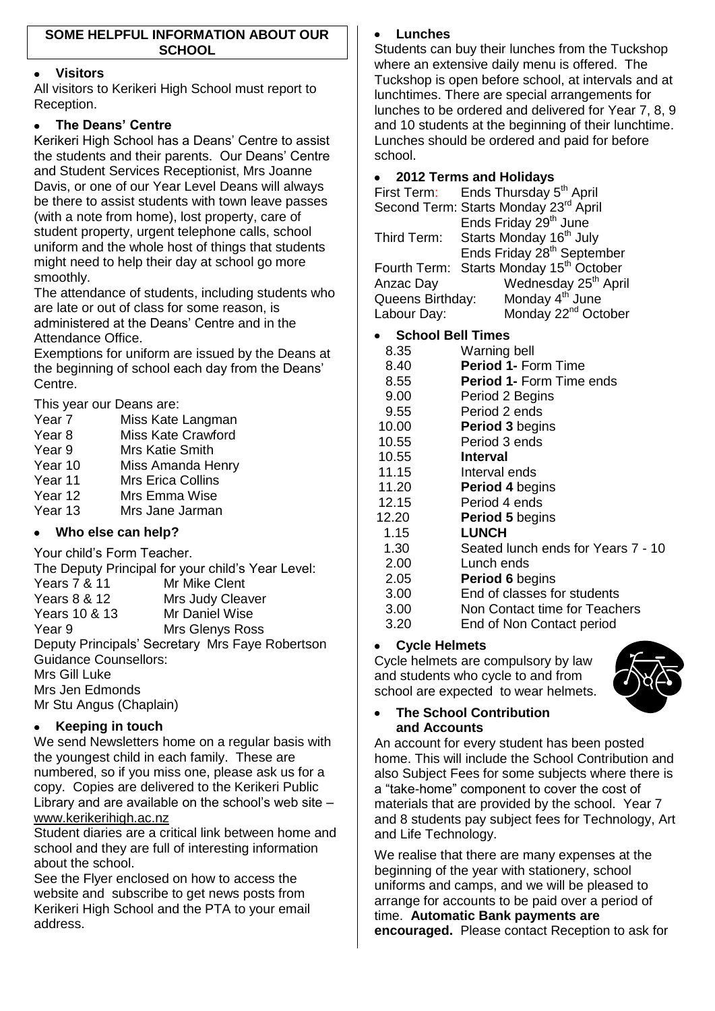# **Visitors**

All visitors to Kerikeri High School must report to Reception.

# **The Deans' Centre**

Kerikeri High School has a Deans' Centre to assist the students and their parents. Our Deans' Centre and Student Services Receptionist, Mrs Joanne Davis, or one of our Year Level Deans will always be there to assist students with town leave passes (with a note from home), lost property, care of student property, urgent telephone calls, school uniform and the whole host of things that students might need to help their day at school go more smoothly.

The attendance of students, including students who are late or out of class for some reason, is administered at the Deans' Centre and in the Attendance Office.

Exemptions for uniform are issued by the Deans at the beginning of school each day from the Deans' Centre.

This year our Deans are:

| Year 7            | Miss Kate Langman              |
|-------------------|--------------------------------|
| Year <sub>8</sub> | <b>Miss Kate Crawford</b>      |
| Year 9            | <b>Mrs Katie Smith</b>         |
| Year 10           | Miss Amanda Henry              |
| Year 11           | <b>Mrs Erica Collins</b>       |
| Year 12           | Mrs Emma Wise                  |
| Year 13           | Mrs Jane Jarman                |
|                   | $Ml$ ha alaa aan haln $\Omega$ |

# **Who else can help?**

Your child's Form Teacher.

|                                                 | The Deputy Principal for your child's Year Level: |  |
|-------------------------------------------------|---------------------------------------------------|--|
| <b>Years 7 &amp; 11</b>                         | Mr Mike Clent                                     |  |
| <b>Years 8 &amp; 12</b>                         | Mrs Judy Cleaver                                  |  |
| Years 10 & 13                                   | Mr Daniel Wise                                    |  |
| Year 9                                          | Mrs Glenys Ross                                   |  |
| Deputy Principals' Secretary Mrs Faye Robertson |                                                   |  |
| <b>Guidance Counsellors:</b>                    |                                                   |  |
| Mrs Gill Luke                                   |                                                   |  |
| Mrs Jen Edmonds                                 |                                                   |  |
| Mr Stu Angus (Chaplain)                         |                                                   |  |

# **Keeping in touch**

We send Newsletters home on a regular basis with the youngest child in each family. These are numbered, so if you miss one, please ask us for a copy. Copies are delivered to the Kerikeri Public Library and are available on the school's web site – [www.kerikerihigh.ac.nz](http://www.kerikerihigh.ac.nz/)

Student diaries are a critical link between home and school and they are full of interesting information about the school.

See the Flyer enclosed on how to access the website and subscribe to get news posts from Kerikeri High School and the PTA to your email address.

# **Lunches**

Students can buy their lunches from the Tuckshop where an extensive daily menu is offered. The Tuckshop is open before school, at intervals and at lunchtimes. There are special arrangements for lunches to be ordered and delivered for Year 7, 8, 9 and 10 students at the beginning of their lunchtime. Lunches should be ordered and paid for before school.

# **2012 Terms and Holidays**

|                  | First Term: Ends Thursday 5 <sup>th</sup> April |
|------------------|-------------------------------------------------|
|                  | Second Term: Starts Monday 23rd April           |
|                  | Ends Friday 29 <sup>th</sup> June               |
| Third Term:      | Starts Monday 16 <sup>th</sup> July             |
|                  | Ends Friday 28 <sup>th</sup> September          |
| Fourth Term:     | Starts Monday 15 <sup>th</sup> October          |
| Anzac Day        | Wednesday 25 <sup>th</sup> April                |
| Queens Birthday: | Monday 4 <sup>th</sup> June                     |
| Labour Day:      | Monday 22 <sup>nd</sup> October                 |
|                  |                                                 |

# **School Bell Times**

| 8.35  | Warning bell                       |
|-------|------------------------------------|
| 8.40  | <b>Period 1- Form Time</b>         |
| 8.55  | <b>Period 1- Form Time ends</b>    |
| 9.00  | Period 2 Begins                    |
| 9.55  | Period 2 ends                      |
| 10.00 | <b>Period 3 begins</b>             |
| 10.55 | Period 3 ends                      |
| 10.55 | <b>Interval</b>                    |
| 11.15 | Interval ends                      |
| 11.20 | <b>Period 4 begins</b>             |
| 12.15 | Period 4 ends                      |
| 12.20 | <b>Period 5 begins</b>             |
| 1.15  | <b>LUNCH</b>                       |
| 1.30  | Seated lunch ends for Years 7 - 10 |
| 2.00  | Lunch ends                         |
| 2.05  | <b>Period 6 begins</b>             |
| 3.00  | End of classes for students        |
| 3.00  | Non Contact time for Teachers      |
| 3.20  | End of Non Contact period          |

# **Cycle Helmets**

Cycle helmets are compulsory by law and students who cycle to and from school are expected to wear helmets.



## **The School Contribution and Accounts**

An account for every student has been posted home. This will include the School Contribution and also Subject Fees for some subjects where there is a "take-home" component to cover the cost of materials that are provided by the school. Year 7 and 8 students pay subject fees for Technology, Art and Life Technology.

We realise that there are many expenses at the beginning of the year with stationery, school uniforms and camps, and we will be pleased to arrange for accounts to be paid over a period of time. **Automatic Bank payments are encouraged.** Please contact Reception to ask for